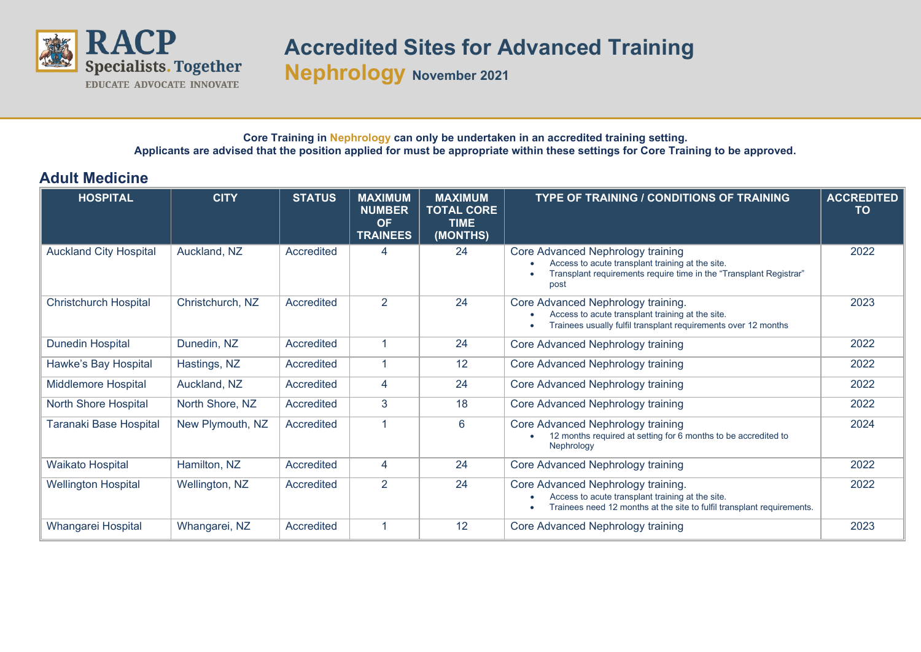

## **Accredited Sites for Advanced Training**

**Nephrology November <sup>2021</sup>**

## **Core Training in Nephrology can only be undertaken in an accredited training setting. Applicants are advised that the position applied for must be appropriate within these settings for Core Training to be approved.**

## **Adult Medicine**

| <b>HOSPITAL</b>               | <b>CITY</b>      | <b>STATUS</b> | <b>MAXIMUM</b><br><b>NUMBER</b><br><b>OF</b><br><b>TRAINEES</b> | <b>MAXIMUM</b><br><b>TOTAL CORE</b><br><b>TIME</b><br>(MONTHS) | <b>TYPE OF TRAINING / CONDITIONS OF TRAINING</b>                                                                                                                      | <b>ACCREDITED</b><br>TO |
|-------------------------------|------------------|---------------|-----------------------------------------------------------------|----------------------------------------------------------------|-----------------------------------------------------------------------------------------------------------------------------------------------------------------------|-------------------------|
| <b>Auckland City Hospital</b> | Auckland, NZ     | Accredited    | 4                                                               | 24                                                             | Core Advanced Nephrology training<br>Access to acute transplant training at the site.<br>Transplant requirements require time in the "Transplant Registrar"<br>post   | 2022                    |
| <b>Christchurch Hospital</b>  | Christchurch, NZ | Accredited    | $\overline{2}$                                                  | 24                                                             | Core Advanced Nephrology training.<br>Access to acute transplant training at the site.<br>Trainees usually fulfil transplant requirements over 12 months<br>$\bullet$ | 2023                    |
| Dunedin Hospital              | Dunedin, NZ      | Accredited    |                                                                 | 24                                                             | Core Advanced Nephrology training                                                                                                                                     | 2022                    |
| Hawke's Bay Hospital          | Hastings, NZ     | Accredited    | 1                                                               | 12                                                             | Core Advanced Nephrology training                                                                                                                                     | 2022                    |
| <b>Middlemore Hospital</b>    | Auckland, NZ     | Accredited    | 4                                                               | 24                                                             | Core Advanced Nephrology training                                                                                                                                     | 2022                    |
| North Shore Hospital          | North Shore, NZ  | Accredited    | 3                                                               | 18                                                             | Core Advanced Nephrology training                                                                                                                                     | 2022                    |
| Taranaki Base Hospital        | New Plymouth, NZ | Accredited    | 1                                                               | 6                                                              | Core Advanced Nephrology training<br>12 months required at setting for 6 months to be accredited to<br>Nephrology                                                     | 2024                    |
| <b>Waikato Hospital</b>       | Hamilton, NZ     | Accredited    | 4                                                               | 24                                                             | Core Advanced Nephrology training                                                                                                                                     | 2022                    |
| <b>Wellington Hospital</b>    | Wellington, NZ   | Accredited    | 2                                                               | 24                                                             | Core Advanced Nephrology training.<br>Access to acute transplant training at the site.<br>Trainees need 12 months at the site to fulfil transplant requirements.      | 2022                    |
| Whangarei Hospital            | Whangarei, NZ    | Accredited    |                                                                 | 12                                                             | Core Advanced Nephrology training                                                                                                                                     | 2023                    |